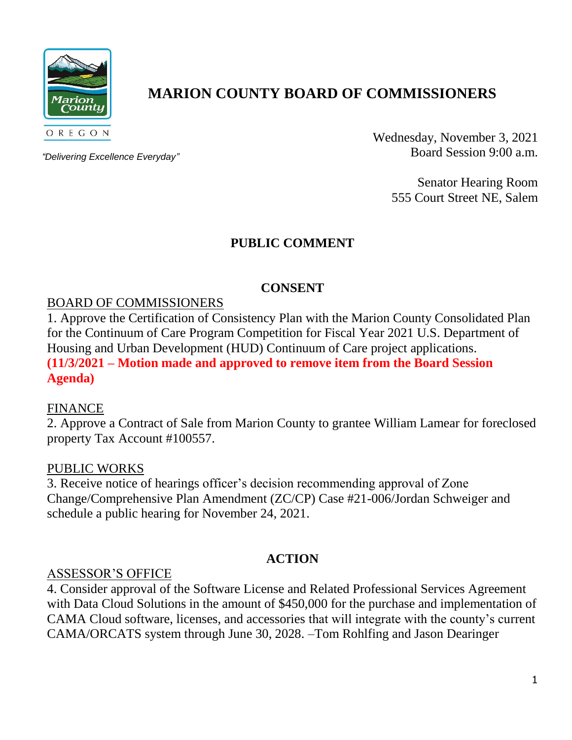

# **MARION COUNTY BOARD OF COMMISSIONERS**

*"Delivering Excellence Everyday"*

Wednesday, November 3, 2021 Board Session 9:00 a.m.

> Senator Hearing Room 555 Court Street NE, Salem

# **PUBLIC COMMENT**

# **CONSENT**

#### BOARD OF COMMISSIONERS

1. Approve the Certification of Consistency Plan with the Marion County Consolidated Plan for the Continuum of Care Program Competition for Fiscal Year 2021 U.S. Department of Housing and Urban Development (HUD) Continuum of Care project applications. **(11/3/2021 – Motion made and approved to remove item from the Board Session Agenda)** 

#### FINANCE

2. Approve a Contract of Sale from Marion County to grantee William Lamear for foreclosed property Tax Account #100557.

#### PUBLIC WORKS

3. Receive notice of hearings officer's decision recommending approval of Zone Change/Comprehensive Plan Amendment (ZC/CP) Case #21-006/Jordan Schweiger and schedule a public hearing for November 24, 2021.

# **ACTION**

#### ASSESSOR'S OFFICE

4. Consider approval of the Software License and Related Professional Services Agreement with Data Cloud Solutions in the amount of \$450,000 for the purchase and implementation of CAMA Cloud software, licenses, and accessories that will integrate with the county's current CAMA/ORCATS system through June 30, 2028. –Tom Rohlfing and Jason Dearinger